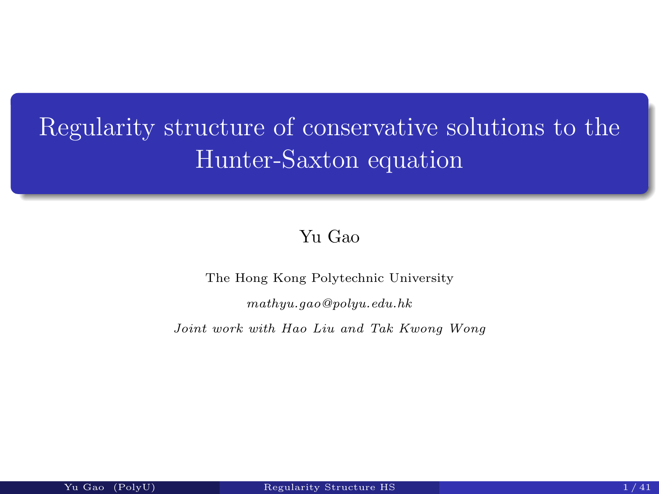# Regularity structure of conservative solutions to the Hunter-Saxton equation

#### Yu Gao

The Hong Kong Polytechnic University

mathyu.gao@polyu.edu.hk

Joint work with Hao Liu and Tak Kwong Wong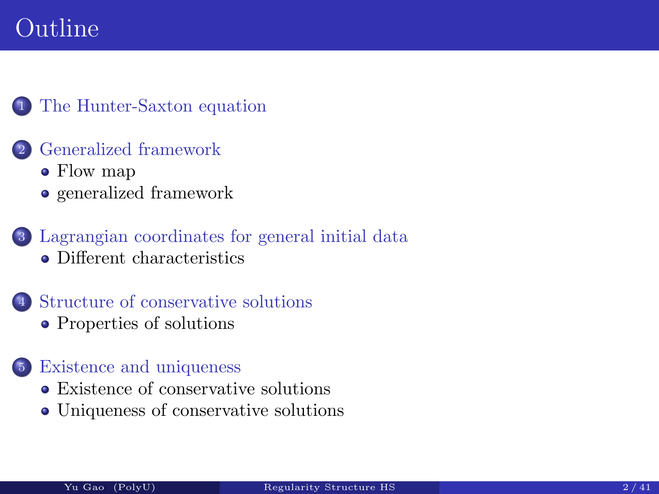# Outline

#### <sup>1</sup> The Hunter-Saxton equation

#### <sup>2</sup> Generalized framework

- Flow map
- generalized framework
- <sup>3</sup> Lagrangian coordinates for general initial data [Different chara](#page-2-0)cteristics
- [Structure of co](#page-16-0)nservative solutions
	- [Properties of solutions](#page-19-0)

#### <sup>5</sup> [Existence and uniqu](#page-38-0)eness

- [Existence of](#page-38-0) conservative solutions
- [Uniqueness o](#page-45-0)f conservative solutions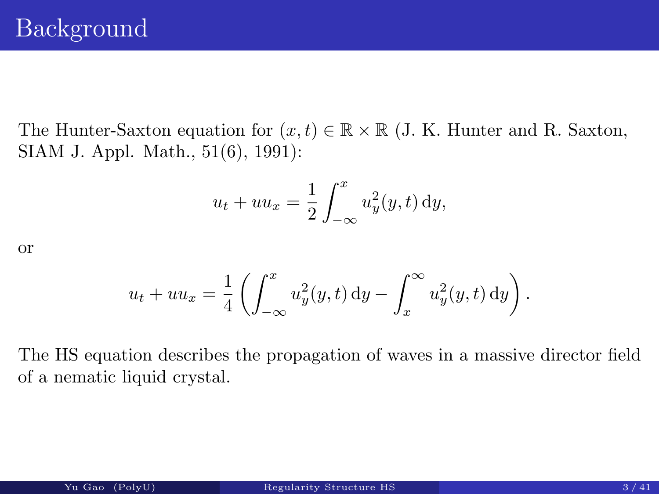<span id="page-2-0"></span>The Hunter-Saxton equation for  $(x, t) \in \mathbb{R} \times \mathbb{R}$  (J. K. Hunter and R. Saxton, SIAM J. Appl. Math., 51(6), 1991):

$$
u_t + uu_x = \frac{1}{2} \int_{-\infty}^x u_y^2(y, t) \, dy,
$$

or

$$
u_t + uu_x = \frac{1}{4} \left( \int_{-\infty}^x u_y^2(y, t) dy - \int_x^\infty u_y^2(y, t) dy \right).
$$

The HS equation describes the propagation of waves in a massive director field of a nematic liquid crystal.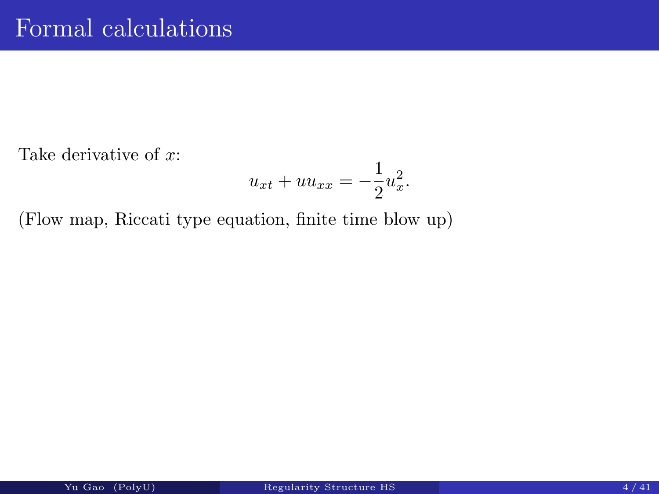Take derivative of x:

$$
u_{xt} + uu_{xx} = -\frac{1}{2}u_x^2.
$$

(Flow map, Riccati type equation, finite time blow up)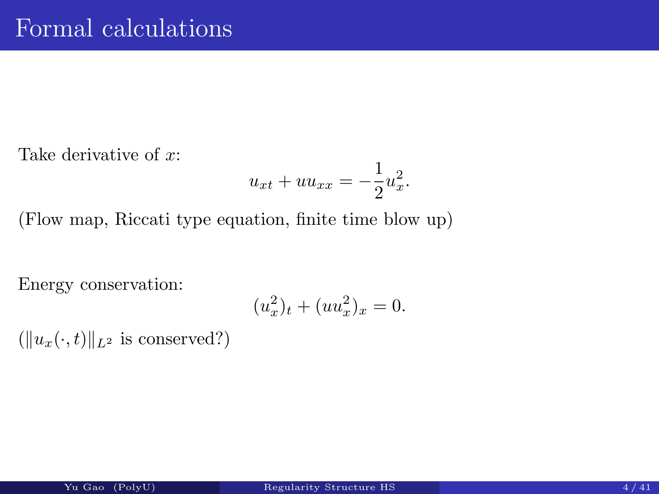Take derivative of x:

$$
u_{xt} + uu_{xx} = -\frac{1}{2}u_x^2.
$$

(Flow map, Riccati type equation, finite time blow up)

Energy conservation:

$$
(u_x^2)_t + (uu_x^2)_x = 0.
$$

 $(\Vert u_x(\cdot, t) \Vert_{L^2} \text{ is conserved})$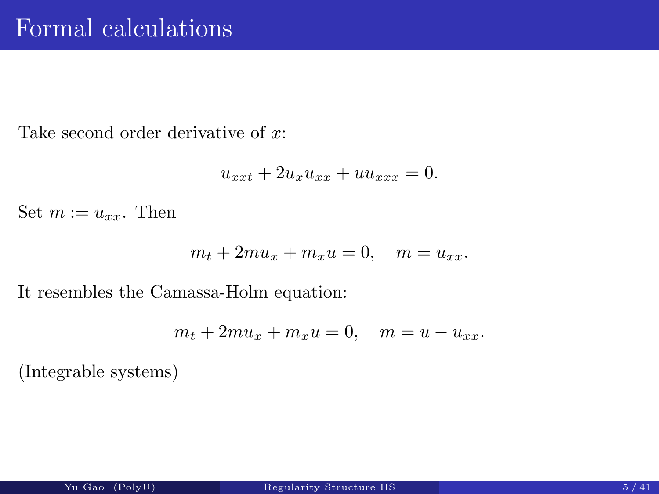Take second order derivative of x:

$$
u_{xxt} + 2u_x u_{xx} + uu_{xxx} = 0.
$$

Set  $m := u_{xx}$ . Then

$$
m_t + 2mu_x + m_x u = 0, \quad m = u_{xx}.
$$

It resembles the Camassa-Holm equation:

$$
m_t + 2mu_x + m_x u = 0, \quad m = u - u_{xx}.
$$

(Integrable systems)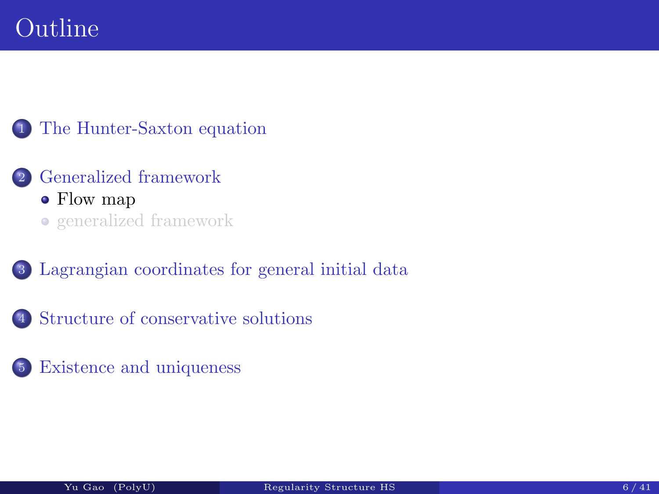# Outline

#### <sup>1</sup> The Hunter-Saxton equation

- <span id="page-6-0"></span><sup>2</sup> Generalized framework • Flow map generalized framework
- <sup>3</sup> [Lagrangian coord](#page-2-0)inates for general initial data
- <sup>4</sup> [Structure of co](#page-16-0)nservative solutions
- <sup>5</sup> [Existence](#page-19-0) [and](#page-19-0) [uniqueness](#page-19-0)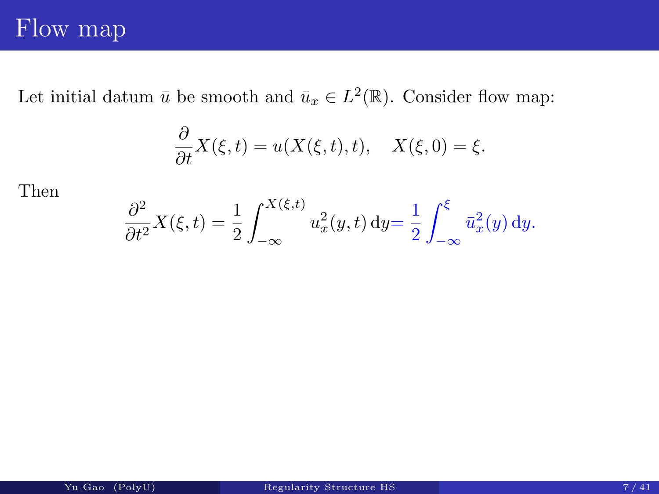### Flow map

Let initial datum  $\bar{u}$  be smooth and  $\bar{u}_x \in L^2(\mathbb{R})$ . Consider flow map:

$$
\frac{\partial}{\partial t}X(\xi,t) = u(X(\xi,t),t), \quad X(\xi,0) = \xi.
$$

Then

$$
\frac{\partial^2}{\partial t^2} X(\xi, t) = \frac{1}{2} \int_{-\infty}^{X(\xi, t)} u_x^2(y, t) \, dy = \frac{1}{2} \int_{-\infty}^{\xi} \bar{u}_x^2(y) \, dy.
$$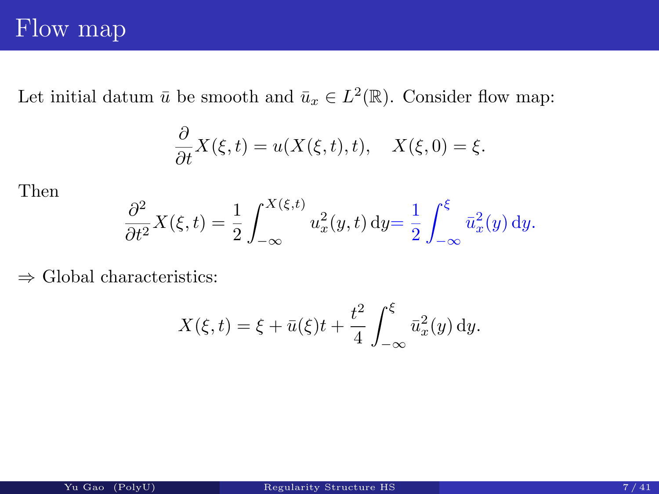### Flow map

Let initial datum  $\bar{u}$  be smooth and  $\bar{u}_x \in L^2(\mathbb{R})$ . Consider flow map:

$$
\frac{\partial}{\partial t}X(\xi,t) = u(X(\xi,t),t), \quad X(\xi,0) = \xi.
$$

Then

$$
\frac{\partial^2}{\partial t^2} X(\xi, t) = \frac{1}{2} \int_{-\infty}^{X(\xi, t)} u_x^2(y, t) \, dy = \frac{1}{2} \int_{-\infty}^{\xi} \bar{u}_x^2(y) \, dy.
$$

 $\Rightarrow$  Global characteristics:

$$
X(\xi, t) = \xi + \bar{u}(\xi)t + \frac{t^2}{4} \int_{-\infty}^{\xi} \bar{u}_x^2(y) \, dy.
$$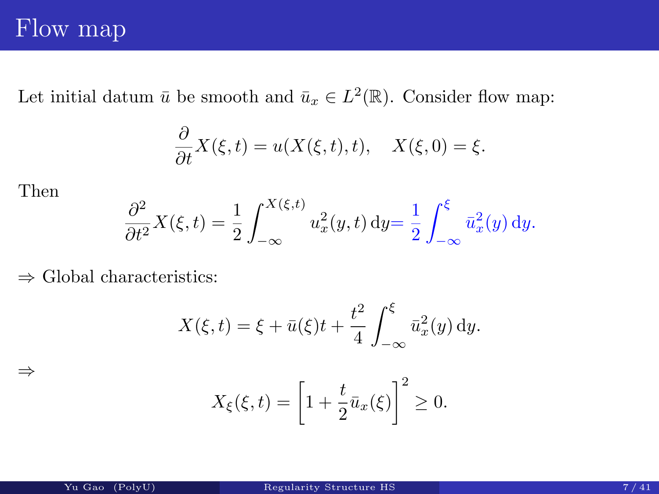### Flow map

Let initial datum  $\bar{u}$  be smooth and  $\bar{u}_x \in L^2(\mathbb{R})$ . Consider flow map:

$$
\frac{\partial}{\partial t}X(\xi,t) = u(X(\xi,t),t), \quad X(\xi,0) = \xi.
$$

Then

⇒

$$
\frac{\partial^2}{\partial t^2} X(\xi, t) = \frac{1}{2} \int_{-\infty}^{X(\xi, t)} u_x^2(y, t) \, dy = \frac{1}{2} \int_{-\infty}^{\xi} \bar{u}_x^2(y) \, dy.
$$

 $\Rightarrow$  Global characteristics:

$$
X(\xi, t) = \xi + \bar{u}(\xi)t + \frac{t^2}{4} \int_{-\infty}^{\xi} \bar{u}_x^2(y) \, dy.
$$

$$
X_{\xi}(\xi,t) = \left[1 + \frac{t}{2}\bar{u}_x(\xi)\right]^2 \ge 0.
$$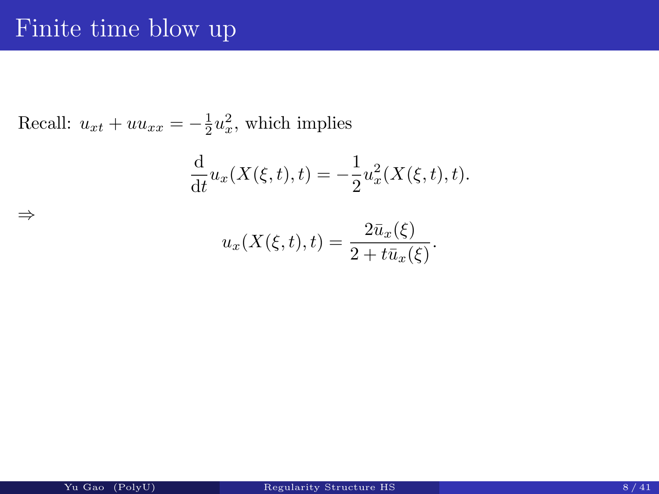### Finite time blow up

⇒

Recall:  $u_{xt} + uu_{xx} = -\frac{1}{2}$  $rac{1}{2}u_x^2$  $\frac{2}{x}$ , which implies

$$
\frac{d}{dt}u_x(X(\xi, t), t) = -\frac{1}{2}u_x^2(X(\xi, t), t).
$$

$$
u_x(X(\xi,t),t) = \frac{2\bar{u}_x(\xi)}{2 + t\bar{u}_x(\xi)}.
$$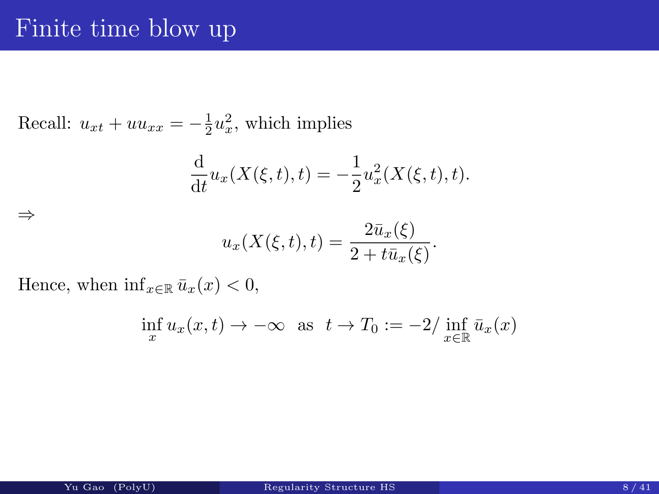### Finite time blow up

Recall:  $u_{xt} + uu_{xx} = -\frac{1}{2}$  $rac{1}{2}u_x^2$  $\frac{2}{x}$ , which implies

$$
\frac{d}{dt}u_x(X(\xi, t), t) = -\frac{1}{2}u_x^2(X(\xi, t), t).
$$

$$
u_x(X(\xi,t),t) = \frac{2\bar{u}_x(\xi)}{2+t\bar{u}_x(\xi)}.
$$

Hence, when  $\inf_{x \in \mathbb{R}} \bar{u}_x(x) < 0$ ,

⇒

$$
\inf_{x} u_x(x,t) \to -\infty \text{ as } t \to T_0 := -2/\inf_{x \in \mathbb{R}} \bar{u}_x(x)
$$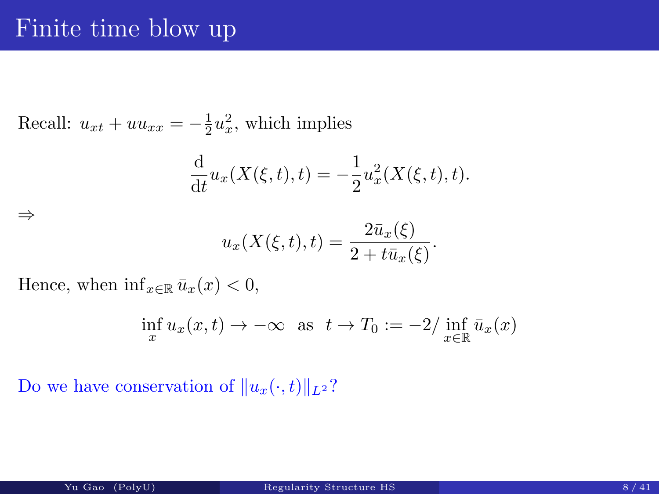### Finite time blow up

Recall:  $u_{xt} + uu_{xx} = -\frac{1}{2}$  $rac{1}{2}u_x^2$  $\frac{2}{x}$ , which implies

$$
\frac{d}{dt}u_x(X(\xi, t), t) = -\frac{1}{2}u_x^2(X(\xi, t), t).
$$

$$
u_x(X(\xi,t),t) = \frac{2\bar{u}_x(\xi)}{2 + t\bar{u}_x(\xi)}.
$$

Hence, when  $\inf_{x \in \mathbb{R}} \bar{u}_x(x) < 0$ ,

⇒

$$
\inf_{x} u_x(x,t) \to -\infty \text{ as } t \to T_0 := -2/\inf_{x \in \mathbb{R}} \bar{u}_x(x)
$$

Do we have conservation of  $||u_x(\cdot, t)||_{L^2}$ ?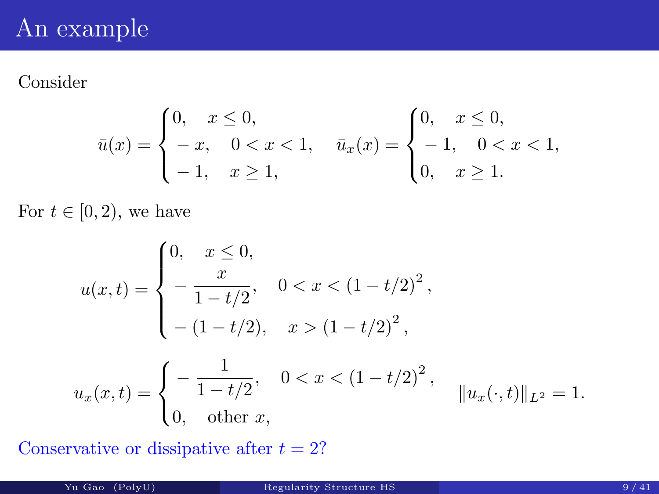# An example

#### Consider

$$
\bar{u}(x) = \begin{cases} 0, & x \le 0, \\ -x, & 0 < x < 1, \\ -1, & x \ge 1, \end{cases} \quad \bar{u}_x(x) = \begin{cases} 0, & x \le 0, \\ -1, & 0 < x < 1, \\ 0, & x \ge 1. \end{cases}
$$

For  $t \in [0, 2)$ , we have

$$
u(x,t) = \begin{cases} 0, & x \le 0, \\ -\frac{x}{1-t/2}, & 0 < x < (1-t/2)^2, \\ -\left(1-t/2\right), & x > (1-t/2)^2, \\ u_x(x,t) = \begin{cases} -\frac{1}{1-t/2}, & 0 < x < (1-t/2)^2, \\ 0, & \text{other } x, \end{cases} \quad \|u_x(\cdot,t)\|_{L^2} = 1. \end{cases}
$$

Conservative or dissipative after  $t = 2$ ?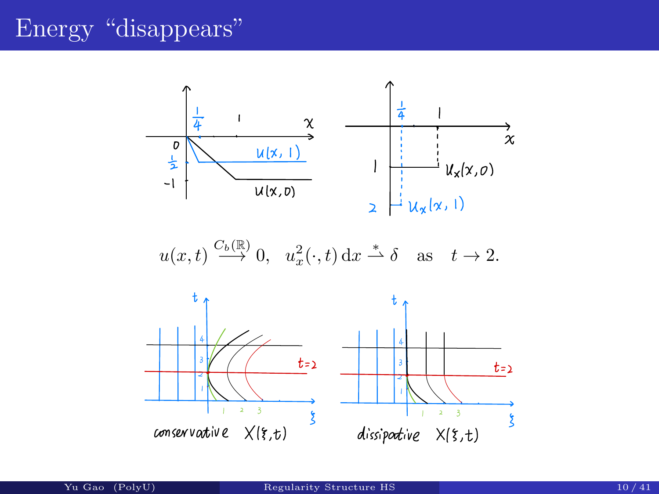# Energy "disappears"



$$
u(x,t) \xrightarrow{C_b(\mathbb{R})} 0
$$
,  $u_x^2(\cdot,t) dx \stackrel{*}{\rightharpoonup} \delta$  as  $t \to 2$ .

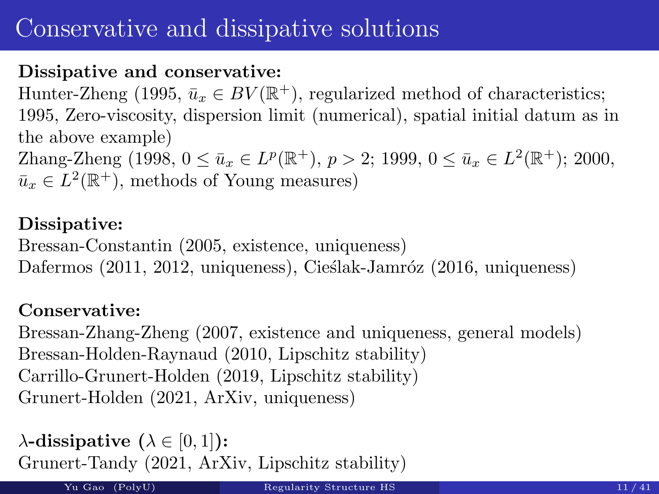# Conservative and dissipative solutions

#### Dissipative and conservative:

Hunter-Zheng (1995,  $\bar{u}_x \in BV(\mathbb{R}^+)$ , regularized method of characteristics; 1995, Zero-viscosity, dispersion limit (numerical), spatial initial datum as in the above example)

Zhang-Zheng (1998,  $0 \le \bar{u}_x \in L^p(\mathbb{R}^+), p > 2$ ; 1999,  $0 \le \bar{u}_x \in L^2(\mathbb{R}^+)$ ; 2000,  $\bar{u}_x \in L^2(\mathbb{R}^+)$ , methods of Young measures)

#### Dissipative:

Bressan-Constantin (2005, existence, uniqueness) Dafermos (2011, 2012, uniqueness), Cieślak-Jamróz (2016, uniqueness)

#### Conservative:

Bressan-Zhang-Zheng (2007, existence and uniqueness, general models) Bressan-Holden-Raynaud (2010, Lipschitz stability) Carrillo-Grunert-Holden (2019, Lipschitz stability) Grunert-Holden (2021, ArXiv, uniqueness)

 $\lambda$ -dissipative  $(\lambda \in [0,1])$ : Grunert-Tandy (2021, ArXiv, Lipschitz stability)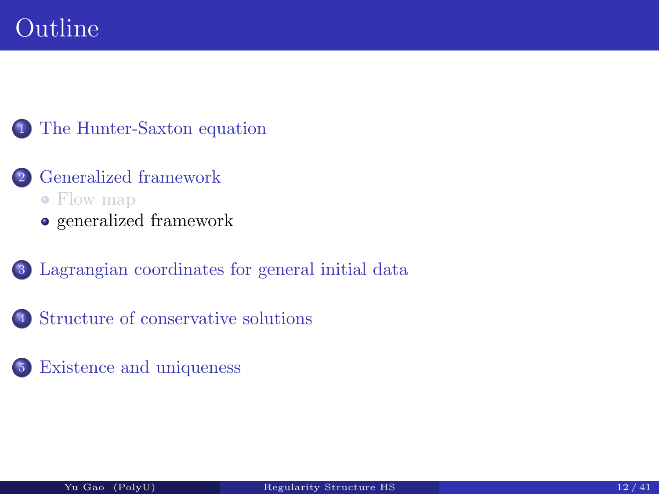# Outline

#### <sup>1</sup> The Hunter-Saxton equation

- <span id="page-16-0"></span><sup>2</sup> Generalized framework Flow map
	- generalized framework
- <sup>3</sup> [Lagrangian coord](#page-2-0)inates for general initial data
- <sup>4</sup> [Structure of co](#page-16-0)nservative solutions
- <sup>5</sup> [Existence](#page-19-0) [and](#page-19-0) [uniqueness](#page-19-0)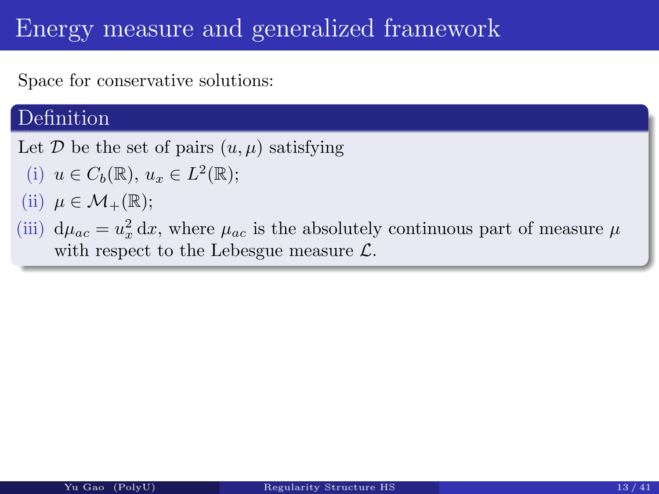# Energy measure and generalized framework

Space for conservative solutions:

#### Definition

Let  $\mathcal D$  be the set of pairs  $(u, \mu)$  satisfying

- (i)  $u \in C_b(\mathbb{R}), u_x \in L^2(\mathbb{R});$
- (ii)  $\mu \in \mathcal{M}_+(\mathbb{R});$
- (iii)  $d\mu_{ac} = u_x^2$  $\frac{2}{x} dx$ , where  $\mu_{ac}$  is the absolutely continuous part of measure  $\mu$ with respect to the Lebesgue measure  $\mathcal{L}$ .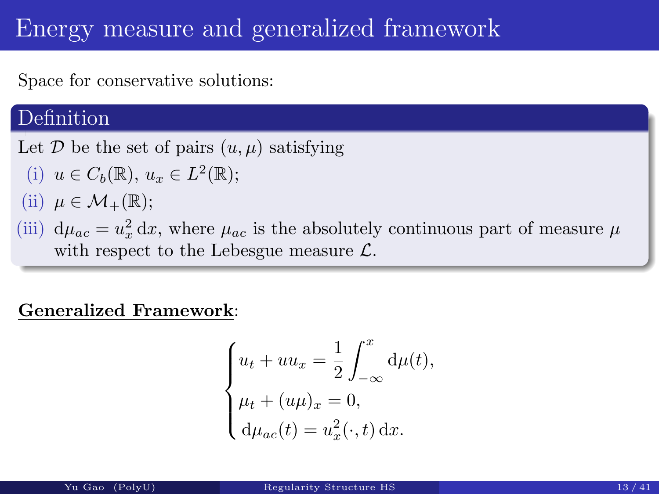# Energy measure and generalized framework

Space for conservative solutions:

#### Definition

Let D be the set of pairs  $(u, \mu)$  satisfying

- (i)  $u \in C_b(\mathbb{R}), u_x \in L^2(\mathbb{R});$
- (ii)  $\mu \in \mathcal{M}_+(\mathbb{R});$
- (iii)  $d\mu_{ac} = u_x^2$  $\frac{2}{x} dx$ , where  $\mu_{ac}$  is the absolutely continuous part of measure  $\mu$ with respect to the Lebesgue measure  $\mathcal{L}$ .

#### Generalized Framework:

$$
\begin{cases} u_t + uu_x = \frac{1}{2} \int_{-\infty}^x d\mu(t), \\ \mu_t + (u\mu)_x = 0, \\ d\mu_{ac}(t) = u_x^2(\cdot, t) dx. \end{cases}
$$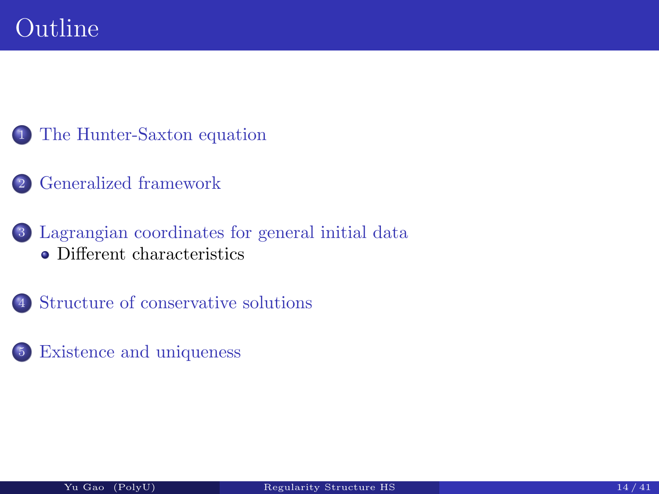- The Hunter-Saxton equation
- <span id="page-19-0"></span>Generalized framework
- Lagrangian coordinates for general initial data [Different chara](#page-2-0)cteristics
- [Structure of c](#page-6-0)onservative solutions
- [Existence](#page-19-0) [and](#page-19-0) uniqueness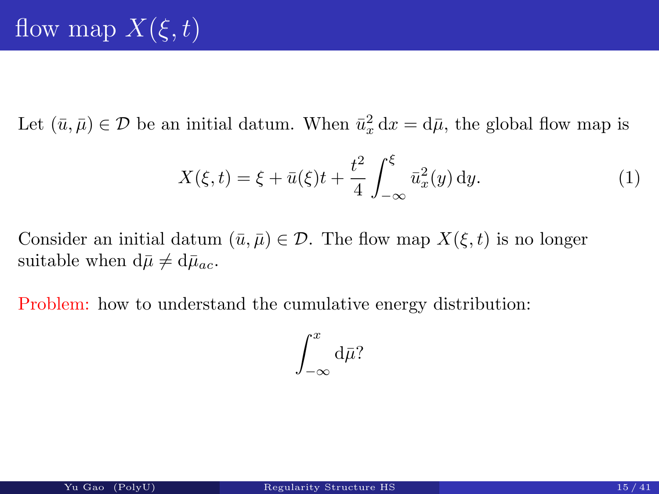Let  $(\bar{u}, \bar{\mu}) \in \mathcal{D}$  be an initial datum. When  $\bar{u}_x^2$  $\frac{2}{x} dx = d\bar{\mu}$ , the global flow map is

$$
X(\xi, t) = \xi + \bar{u}(\xi)t + \frac{t^2}{4} \int_{-\infty}^{\xi} \bar{u}_x^2(y) \, dy.
$$
 (1)

Consider an initial datum  $(\bar{u}, \bar{\mu}) \in \mathcal{D}$ . The flow map  $X(\xi, t)$  is no longer suitable when  $d\bar{\mu} \neq d\bar{\mu}_{ac}$ .

Problem: how to understand the cumulative energy distribution:

$$
\int_{-\infty}^x {\rm d}\bar\mu?
$$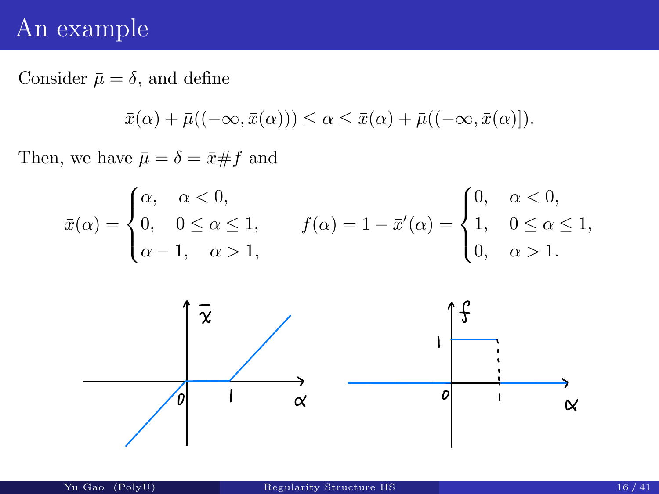### An example

Consider  $\bar{\mu} = \delta$ , and define

$$
\bar{x}(\alpha) + \bar{\mu}((-\infty, \bar{x}(\alpha))) \leq \alpha \leq \bar{x}(\alpha) + \bar{\mu}((-\infty, \bar{x}(\alpha))).
$$

Then, we have  $\bar{\mu} = \delta = \bar{x} \# f$  and

$$
\bar{x}(\alpha) = \begin{cases} \alpha, & \alpha < 0, \\ 0, & 0 \le \alpha \le 1, \\ \alpha - 1, & \alpha > 1, \end{cases} \qquad f(\alpha) = 1 - \bar{x}'(\alpha) = \begin{cases} 0, & \alpha < 0, \\ 1, & 0 \le \alpha \le 1, \\ 0, & \alpha > 1. \end{cases}
$$

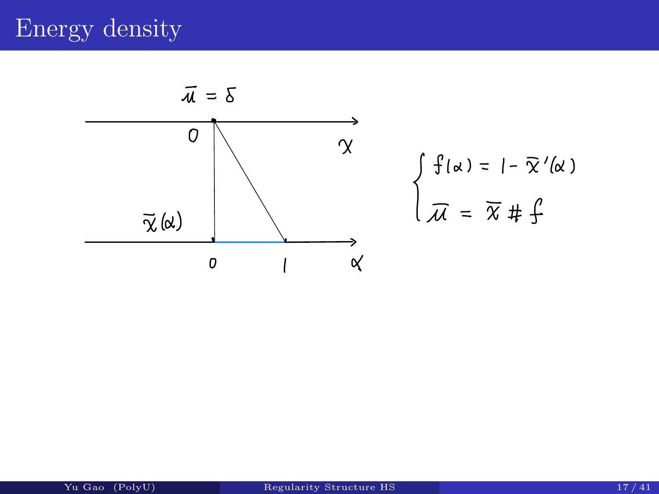# Energy density



$$
\int f(\alpha) = 1 - \overline{\chi}'(\alpha)
$$
  

$$
\overline{\mathcal{M}} = \overline{\chi} \# \oint
$$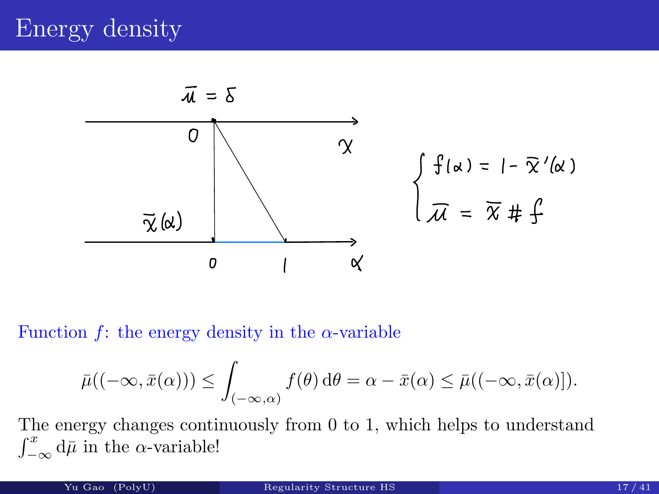

Function f: the energy density in the  $\alpha$ -variable

$$
\bar{\mu}((-\infty,\bar{x}(\alpha))) \leq \int_{(-\infty,\alpha)} f(\theta) d\theta = \alpha - \bar{x}(\alpha) \leq \bar{\mu}((-\infty,\bar{x}(\alpha))).
$$

The energy changes continuously from 0 to 1, which helps to understand  $\int_{-\infty}^{x} d\bar{\mu}$  in the  $\alpha$ -variable!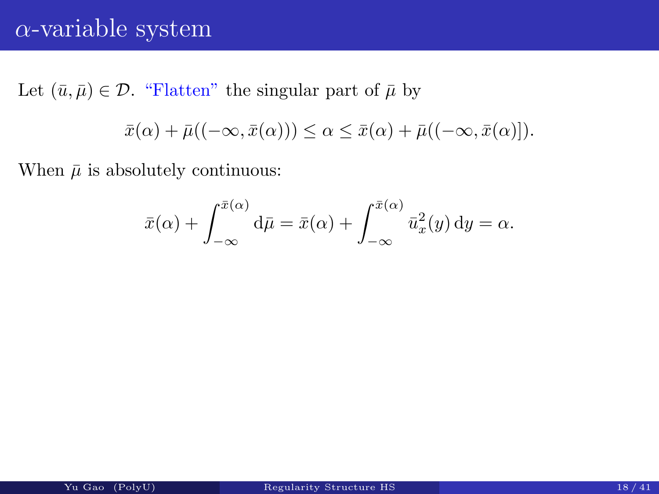# α-variable system

Let  $(\bar{u}, \bar{\mu}) \in \mathcal{D}$ . "Flatten" the singular part of  $\bar{\mu}$  by

$$
\bar{x}(\alpha) + \bar{\mu}((-\infty, \bar{x}(\alpha))) \leq \alpha \leq \bar{x}(\alpha) + \bar{\mu}((-\infty, \bar{x}(\alpha))).
$$

When  $\bar{\mu}$  is absolutely continuous:

$$
\bar{x}(\alpha) + \int_{-\infty}^{\bar{x}(\alpha)} d\bar{\mu} = \bar{x}(\alpha) + \int_{-\infty}^{\bar{x}(\alpha)} \bar{u}_x^2(y) dy = \alpha.
$$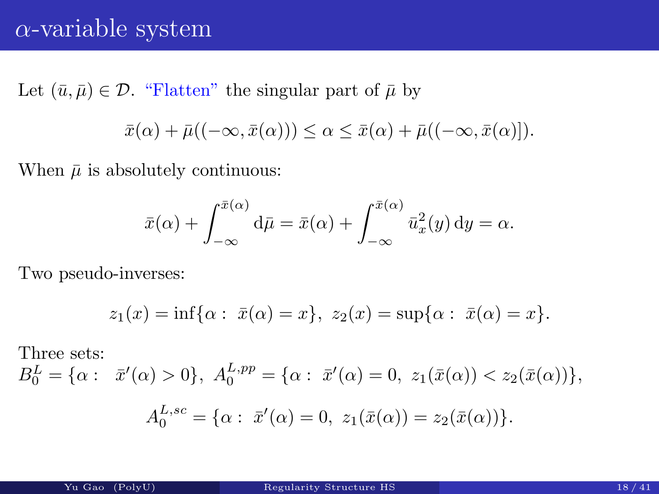### $\alpha$ -variable system

Let  $(\bar{u}, \bar{\mu}) \in \mathcal{D}$ . "Flatten" the singular part of  $\bar{\mu}$  by

$$
\bar{x}(\alpha) + \bar{\mu}((-\infty, \bar{x}(\alpha))) \leq \alpha \leq \bar{x}(\alpha) + \bar{\mu}((-\infty, \bar{x}(\alpha))).
$$

When  $\bar{\mu}$  is absolutely continuous:

$$
\bar{x}(\alpha) + \int_{-\infty}^{\bar{x}(\alpha)} d\bar{\mu} = \bar{x}(\alpha) + \int_{-\infty}^{\bar{x}(\alpha)} \bar{u}_x^2(y) dy = \alpha.
$$

Two pseudo-inverses:

$$
z_1(x) = \inf\{\alpha : \ \bar{x}(\alpha) = x\}, \ z_2(x) = \sup\{\alpha : \ \bar{x}(\alpha) = x\}.
$$

Three sets:

$$
B_0^L = \{ \alpha : \ \bar{x}'(\alpha) > 0 \}, \ A_0^{L,pp} = \{ \alpha : \ \bar{x}'(\alpha) = 0, \ z_1(\bar{x}(\alpha)) < z_2(\bar{x}(\alpha)) \},
$$

$$
A_0^{L,sc} = \{ \alpha : \ \bar{x}'(\alpha) = 0, \ z_1(\bar{x}(\alpha)) = z_2(\bar{x}(\alpha)) \}.
$$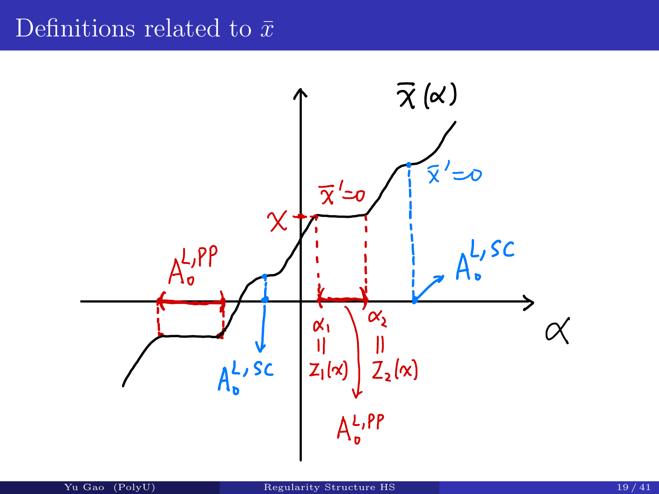### Definitions related to  $\bar{x}$

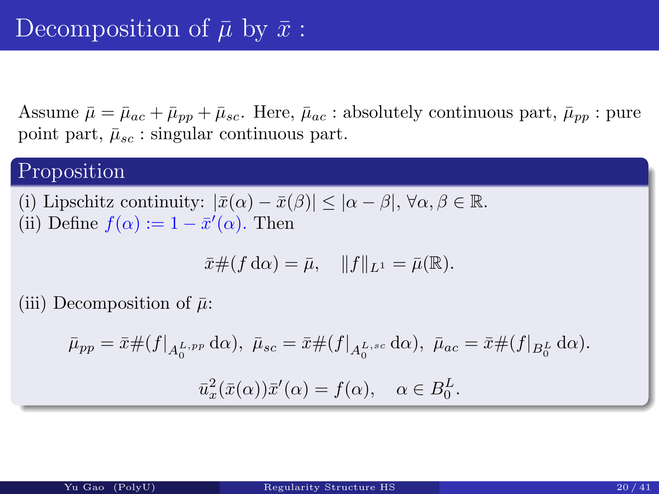Assume  $\bar{\mu} = \bar{\mu}_{ac} + \bar{\mu}_{pp} + \bar{\mu}_{sc}$ . Here,  $\bar{\mu}_{ac}$ : absolutely continuous part,  $\bar{\mu}_{pp}$ : pure point part,  $\bar{\mu}_{sc}$ : singular continuous part.

#### Proposition

(i) Lipschitz continuity:  $|\bar{x}(\alpha) - \bar{x}(\beta)| \leq |\alpha - \beta|, \forall \alpha, \beta \in \mathbb{R}$ . (ii) Define  $f(\alpha) := 1 - \bar{x}'(\alpha)$ . Then

$$
\bar{x}\#(f\,\mathrm{d}\alpha) = \bar{\mu}, \quad \|f\|_{L^1} = \bar{\mu}(\mathbb{R}).
$$

(iii) Decomposition of  $\bar{\mu}$ :

$$
\bar{\mu}_{pp} = \bar{x} \#(f|_{A_0^{L,pp}} \, \mathrm{d}\alpha), \ \bar{\mu}_{sc} = \bar{x} \#(f|_{A_0^{L,sc}} \, \mathrm{d}\alpha), \ \bar{\mu}_{ac} = \bar{x} \#(f|_{B_0^L} \, \mathrm{d}\alpha).
$$

$$
\bar{u}_x^2(\bar{x}(\alpha))\bar{x}'(\alpha) = f(\alpha), \quad \alpha \in B_0^L.
$$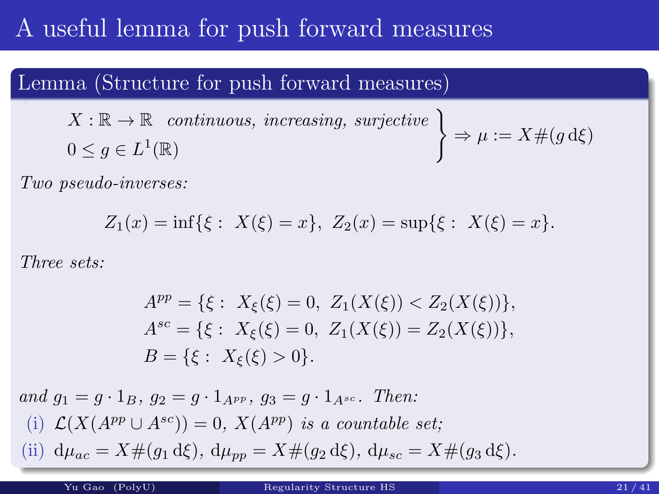# A useful lemma for push forward measures

#### Lemma (Structure for push forward measures)

 $X:\mathbb{R}\to\mathbb{R}$  continuous, increasing, surjective  $0 \leq g \in L^1(\mathbb{R})$ 

$$
\Rightarrow \mu := X \# (g \, d\xi)
$$

Two pseudo-inverses:

$$
Z_1(x) = \inf\{\xi : X(\xi) = x\}, Z_2(x) = \sup\{\xi : X(\xi) = x\}.
$$

Three sets:

$$
A^{pp} = \{ \xi : X_{\xi}(\xi) = 0, Z_1(X(\xi)) < Z_2(X(\xi)) \},
$$
\n
$$
A^{sc} = \{ \xi : X_{\xi}(\xi) = 0, Z_1(X(\xi)) = Z_2(X(\xi)) \},
$$
\n
$$
B = \{ \xi : X_{\xi}(\xi) > 0 \}.
$$

and  $g_1 = g \cdot 1_B$ ,  $g_2 = g \cdot 1_{A^{pp}}$ ,  $g_3 = g \cdot 1_{A^{sc}}$ . Then: (i)  $\mathcal{L}(X(A^{pp} \cup A^{sc})) = 0$ ,  $X(A^{pp})$  is a countable set; (ii)  $d\mu_{ac} = X \#(g_1 d\xi), d\mu_{pp} = X \#(g_2 d\xi), d\mu_{sc} = X \#(g_3 d\xi).$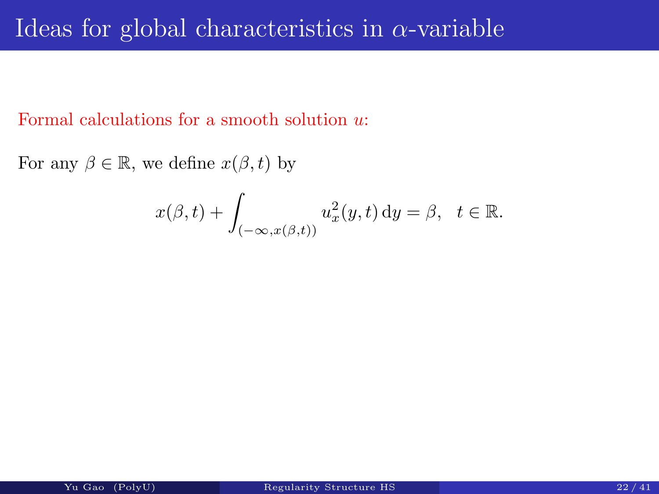### Ideas for global characteristics in  $\alpha$ -variable

Formal calculations for a smooth solution u:

For any  $\beta \in \mathbb{R}$ , we define  $x(\beta, t)$  by

$$
x(\beta, t) + \int_{(-\infty, x(\beta, t))} u_x^2(y, t) dy = \beta, \quad t \in \mathbb{R}.
$$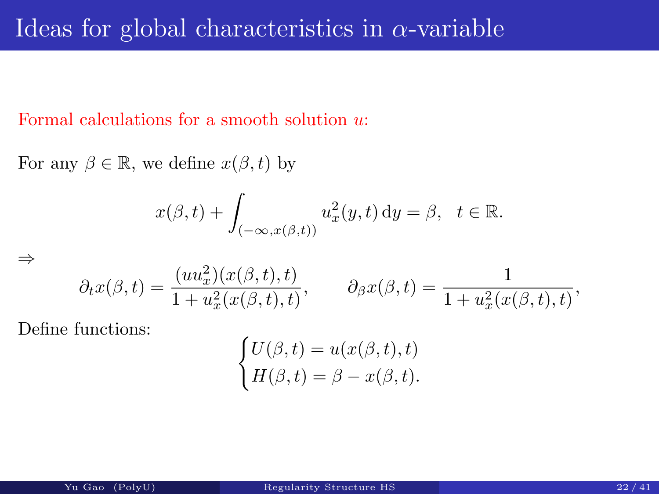#### Formal calculations for a smooth solution u:

For any  $\beta \in \mathbb{R}$ , we define  $x(\beta, t)$  by

$$
x(\beta, t) + \int_{(-\infty, x(\beta, t))} u_x^2(y, t) dy = \beta, \quad t \in \mathbb{R}.
$$

$$
\partial_t x(\beta, t) = \frac{(uu_x^2)(x(\beta, t), t)}{1 + u_x^2(x(\beta, t), t)}, \qquad \partial_\beta x(\beta, t) = \frac{1}{1 + u_x^2(x(\beta, t), t)},
$$

Define functions:

⇒

$$
\begin{cases} U(\beta, t) = u(x(\beta, t), t) \\ H(\beta, t) = \beta - x(\beta, t). \end{cases}
$$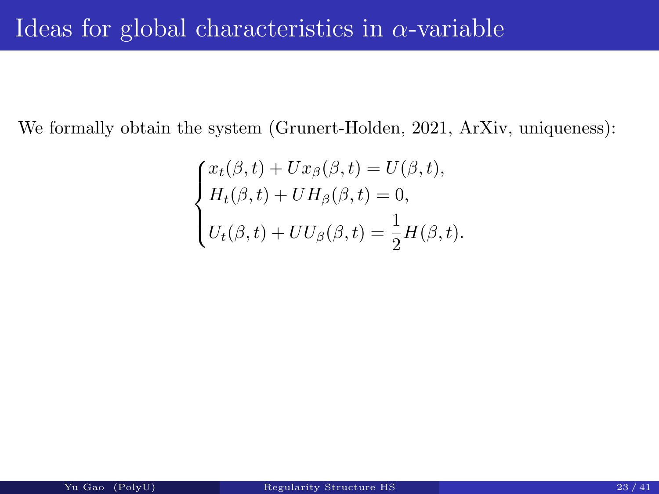We formally obtain the system (Grunert-Holden, 2021, ArXiv, uniqueness):

$$
\begin{cases}\nx_t(\beta, t) + Ux_\beta(\beta, t) = U(\beta, t), \\
H_t(\beta, t) + UH_\beta(\beta, t) = 0, \\
U_t(\beta, t) + UU_\beta(\beta, t) = \frac{1}{2}H(\beta, t).\n\end{cases}
$$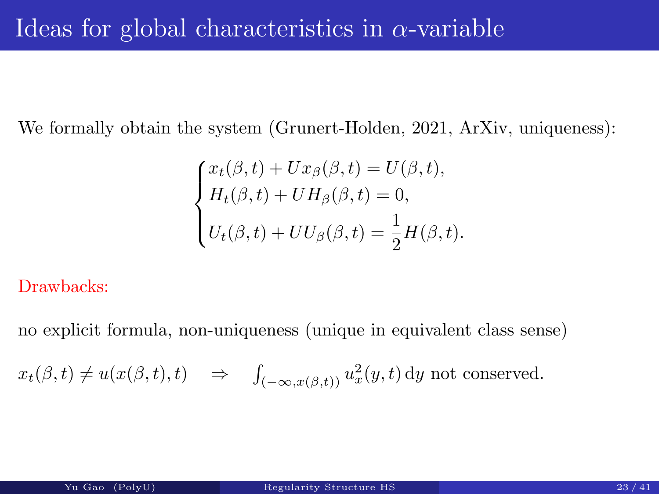We formally obtain the system (Grunert-Holden, 2021, ArXiv, uniqueness):

$$
\begin{cases}\nx_t(\beta, t) + Ux_\beta(\beta, t) = U(\beta, t), \\
H_t(\beta, t) + UH_\beta(\beta, t) = 0, \\
U_t(\beta, t) + UU_\beta(\beta, t) = \frac{1}{2}H(\beta, t).\n\end{cases}
$$

Drawbacks:

no explicit formula, non-uniqueness (unique in equivalent class sense)

$$
x_t(\beta, t) \neq u(x(\beta, t), t) \Rightarrow \int_{(-\infty, x(\beta, t))} u_x^2(y, t) dy
$$
 not conserved.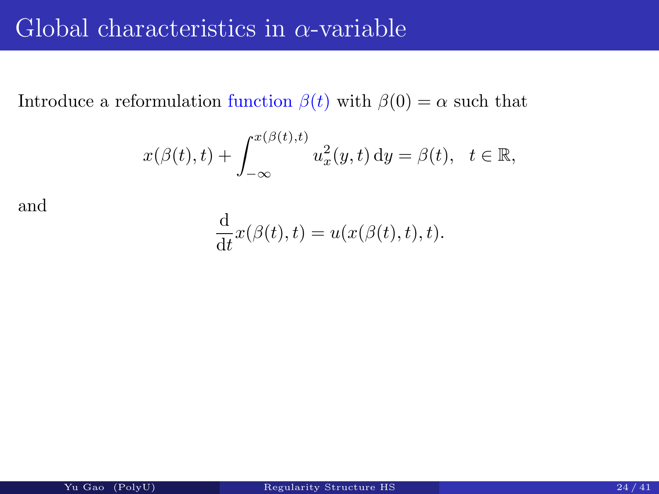### Global characteristics in  $\alpha$ -variable

Introduce a reformulation function  $\beta(t)$  with  $\beta(0)=\alpha$  such that

$$
x(\beta(t),t) + \int_{-\infty}^{x(\beta(t),t)} u_x^2(y,t) dy = \beta(t), \quad t \in \mathbb{R},
$$

and

$$
\frac{\mathrm{d}}{\mathrm{d}t}x(\beta(t),t) = u(x(\beta(t),t),t).
$$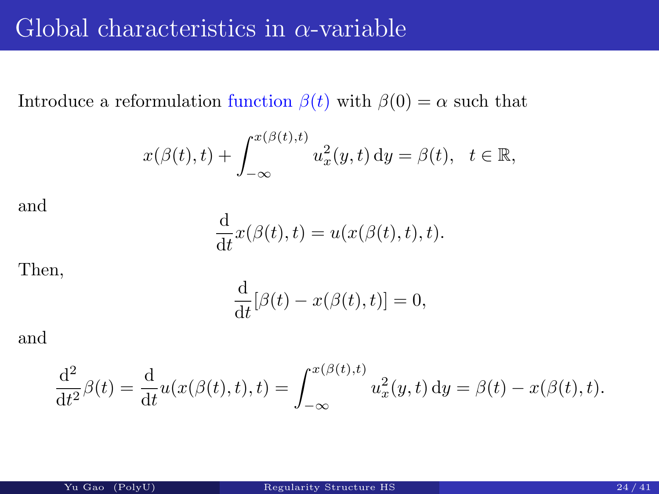### Global characteristics in  $\alpha$ -variable

Introduce a reformulation function  $\beta(t)$  with  $\beta(0) = \alpha$  such that

$$
x(\beta(t),t) + \int_{-\infty}^{x(\beta(t),t)} u_x^2(y,t) dy = \beta(t), \quad t \in \mathbb{R},
$$

and

$$
\frac{\mathrm{d}}{\mathrm{d}t}x(\beta(t),t) = u(x(\beta(t),t),t).
$$

Then,

$$
\frac{\mathrm{d}}{\mathrm{d}t}[\beta(t) - x(\beta(t), t)] = 0,
$$

and

$$
\frac{d^2}{dt^2}\beta(t) = \frac{d}{dt}u(x(\beta(t), t), t) = \int_{-\infty}^{x(\beta(t), t)} u_x^2(y, t) dy = \beta(t) - x(\beta(t), t).
$$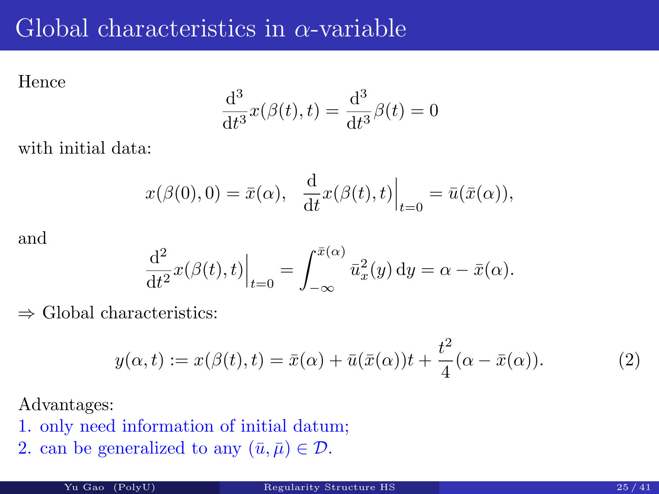# Global characteristics in  $\alpha$ -variable

Hence

$$
\frac{\mathrm{d}^3}{\mathrm{d}t^3}x(\beta(t),t) = \frac{\mathrm{d}^3}{\mathrm{d}t^3}\beta(t) = 0
$$

with initial data:

$$
x(\beta(0),0) = \bar{x}(\alpha), \frac{d}{dt}x(\beta(t),t)\Big|_{t=0} = \bar{u}(\bar{x}(\alpha)),
$$

and

$$
\frac{\mathrm{d}^2}{\mathrm{d}t^2}x(\beta(t),t)\Big|_{t=0} = \int_{-\infty}^{\bar{x}(\alpha)} \bar{u}_x^2(y) \,\mathrm{d}y = \alpha - \bar{x}(\alpha).
$$

 $\Rightarrow$  Global characteristics:

$$
y(\alpha, t) := x(\beta(t), t) = \bar{x}(\alpha) + \bar{u}(\bar{x}(\alpha))t + \frac{t^2}{4}(\alpha - \bar{x}(\alpha)).
$$
\n(2)

Advantages:

- 1. only need information of initial datum;
- 2. can be generalized to any  $(\bar{u}, \bar{\mu}) \in \mathcal{D}$ .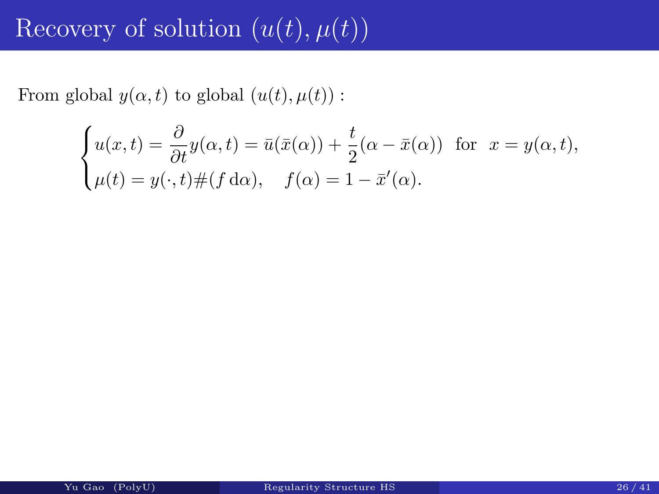# Recovery of solution  $(u(t), u(t))$

From global  $y(\alpha, t)$  to global  $(u(t), \mu(t))$ :

$$
\begin{cases}\nu(x,t) = \frac{\partial}{\partial t}y(\alpha,t) = \bar{u}(\bar{x}(\alpha)) + \frac{t}{2}(\alpha - \bar{x}(\alpha)) & \text{for } x = y(\alpha,t), \\
\mu(t) = y(\cdot,t) \#(f \, d\alpha), \quad f(\alpha) = 1 - \bar{x}'(\alpha).\n\end{cases}
$$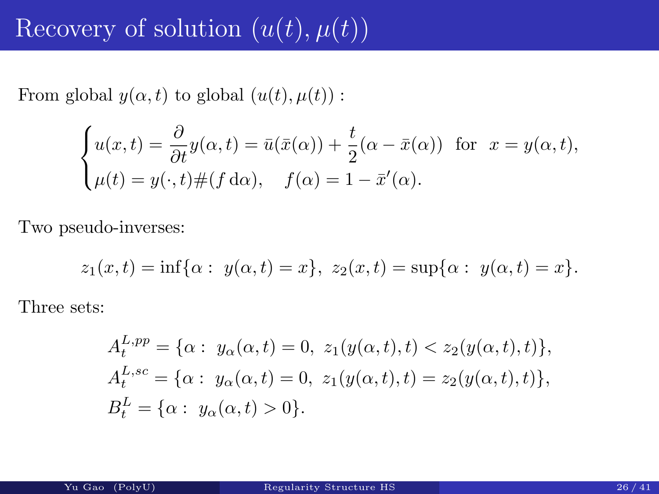# Recovery of solution  $(u(t), \mu(t))$

From global  $y(\alpha, t)$  to global  $(u(t), \mu(t))$ :

$$
\begin{cases}\nu(x,t) = \frac{\partial}{\partial t}y(\alpha,t) = \bar{u}(\bar{x}(\alpha)) + \frac{t}{2}(\alpha - \bar{x}(\alpha)) & \text{for } x = y(\alpha,t), \\
\mu(t) = y(\cdot,t) \#(f \, d\alpha), \quad f(\alpha) = 1 - \bar{x}'(\alpha).\n\end{cases}
$$

Two pseudo-inverses:

$$
z_1(x,t) = \inf{\alpha : y(\alpha, t) = x}, z_2(x,t) = \sup{\alpha : y(\alpha, t) = x}.
$$

Three sets:

$$
A_t^{L,pp} = \{ \alpha : y_\alpha(\alpha, t) = 0, z_1(y(\alpha, t), t) < z_2(y(\alpha, t), t) \},
$$
\n
$$
A_t^{L,sc} = \{ \alpha : y_\alpha(\alpha, t) = 0, z_1(y(\alpha, t), t) = z_2(y(\alpha, t), t) \},
$$
\n
$$
B_t^L = \{ \alpha : y_\alpha(\alpha, t) > 0 \}.
$$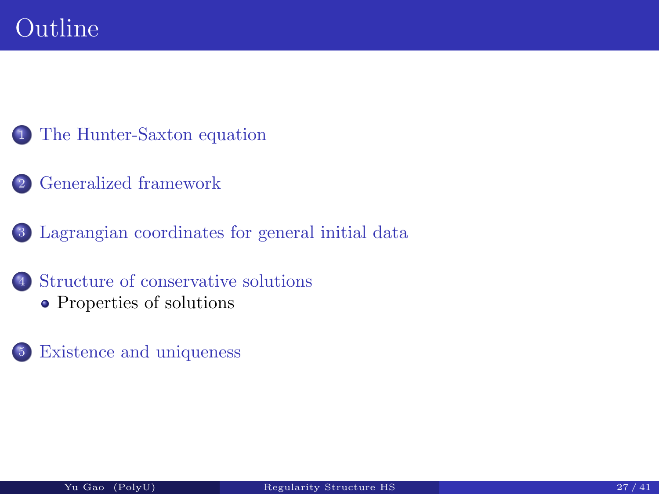- The Hunter-Saxton equation
- <span id="page-38-0"></span>Generalized framework
- Lagrangian coordinates for general initial data
- [Structure](#page-2-0) [of](#page-2-0) [cons](#page-2-0)ervative solutions [Properties](#page-6-0) of solutions
- [Existence and uniqu](#page-38-0)eness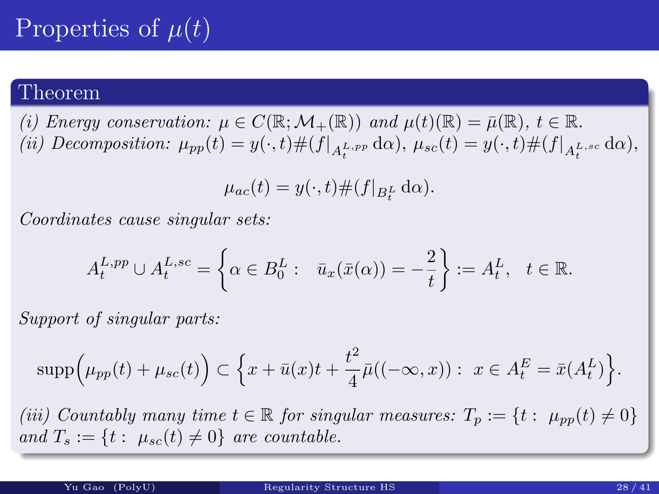# Properties of  $\mu(t)$

#### Theorem

(i) Energy conservation:  $\mu \in C(\mathbb{R}; \mathcal{M}_+(\mathbb{R}))$  and  $\mu(t)(\mathbb{R}) = \bar{\mu}(\mathbb{R}), t \in \mathbb{R}$ . (ii) Decomposition:  $\mu_{pp}(t) = y(\cdot, t) \#(f|_{A_t^{L,pp}})$  $_{t}^{L,pp}\,\mathrm{d}\alpha),\,\mu_{sc}(t)=y(\cdot,t)\#(f|_{A_{t}^{L,sc}})$  $_{t}^{L, sc}\,\mathrm{d}\alpha),$ 

$$
\mu_{ac}(t) = y(\cdot, t) \#(f|_{B_t^L} d\alpha).
$$

Coordinates cause singular sets:

$$
A_t^{L,pp} \cup A_t^{L,sc} = \left\{ \alpha \in B_0^L : \overline{u}_x(\overline{x}(\alpha)) = -\frac{2}{t} \right\} := A_t^L, \quad t \in \mathbb{R}.
$$

Support of singular parts:

$$
\text{supp}\Big(\mu_{pp}(t) + \mu_{sc}(t)\Big) \subset \Big\{x + \bar{u}(x)t + \frac{t^2}{4}\bar{\mu}((-\infty, x)) : x \in A_t^E = \bar{x}(A_t^L)\Big\}.
$$

(iii) Countably many time  $t \in \mathbb{R}$  for singular measures:  $T_p := \{t : \mu_{pp}(t) \neq 0\}$ and  $T_s := \{t : \mu_{sc}(t) \neq 0\}$  are countable.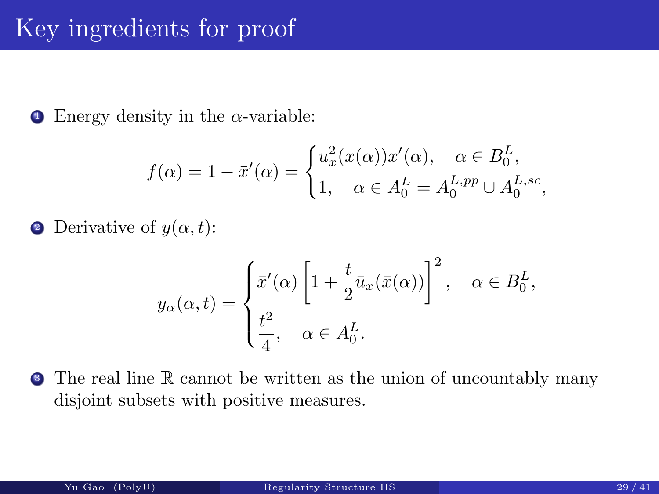**1** Energy density in the  $\alpha$ -variable:

$$
f(\alpha) = 1 - \bar{x}'(\alpha) = \begin{cases} \bar{u}_x^2(\bar{x}(\alpha))\bar{x}'(\alpha), & \alpha \in B_0^L, \\ 1, & \alpha \in A_0^L = A_0^{L,pp} \cup A_0^{L,sc}, \end{cases}
$$

**2** Derivative of  $y(\alpha, t)$ :

$$
y_{\alpha}(\alpha, t) = \begin{cases} \bar{x}'(\alpha) \left[ 1 + \frac{t}{2} \bar{u}_x(\bar{x}(\alpha)) \right]^2, & \alpha \in B_0^L, \\ \frac{t^2}{4}, & \alpha \in A_0^L. \end{cases}
$$

• The real line R cannot be written as the union of uncountably many disjoint subsets with positive measures.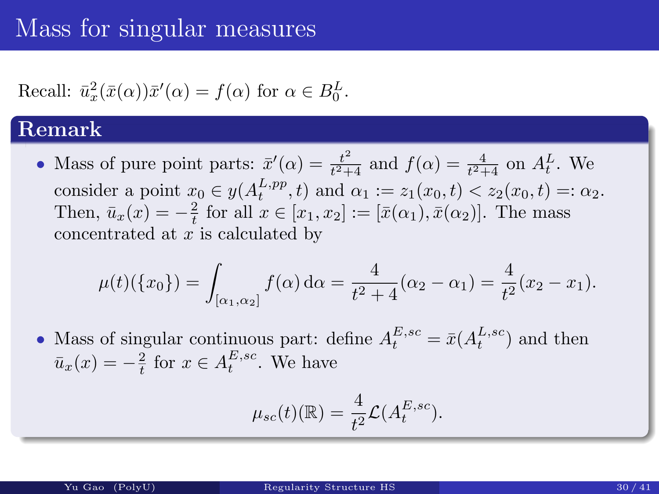# Mass for singular measures

#### Recall:  $\bar{u}_x^2$  $x^2(x(\alpha))\bar{x}'(\alpha) = f(\alpha)$  for  $\alpha \in B_0^L$ .

#### Remark

• Mass of pure point parts:  $\bar{x}'(\alpha) = \frac{t^2}{t^2 + 1}$  $\frac{t^2}{t^2+4}$  and  $f(\alpha) = \frac{4}{t^2+4}$  on  $A_t^L$ . We consider a point  $x_0 \in y(A_t^{L,pp})$  $t^{L,pp}_{t}$ , t) and  $\alpha_1 := z_1(x_0,t) < z_2(x_0,t) =: \alpha_2$ . Then,  $\bar{u}_x(x) = -\frac{2}{t}$  $\frac{2}{t}$  for all  $x \in [x_1, x_2] := [\bar{x}(\alpha_1), \bar{x}(\alpha_2)].$  The mass concentrated at  $x$  is calculated by

$$
\mu(t)(\{x_0\}) = \int_{[\alpha_1,\alpha_2]} f(\alpha) d\alpha = \frac{4}{t^2 + 4} (\alpha_2 - \alpha_1) = \frac{4}{t^2} (x_2 - x_1).
$$

• Mass of singular continuous part: define  $A_t^{E,sc}$  $t^{E,sc} = \bar{x}(A_t^{L,sc}$  $_t^{L,sc}$  and then  $\bar{u}_x(x) = -\frac{2}{t}$  $\frac{2}{t}$  for  $x \in A_t^{E,sc}$  $_t^{E,sc}$ . We have

$$
\mu_{sc}(t)(\mathbb{R}) = \frac{4}{t^2} \mathcal{L}(A_t^{E,sc}).
$$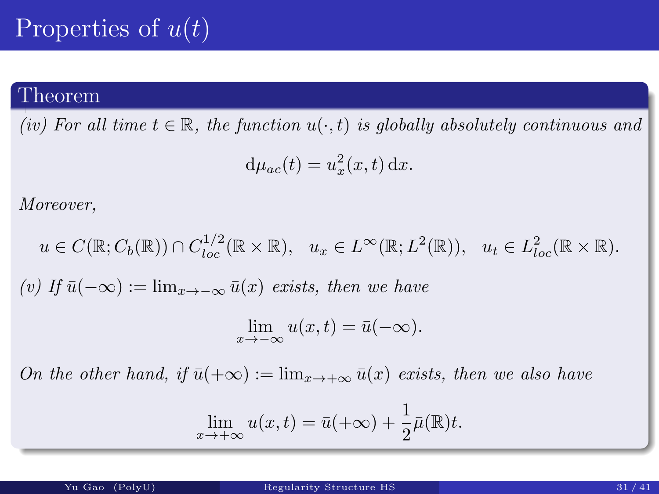# Properties of  $u(t)$

#### Theorem

(iv) For all time  $t \in \mathbb{R}$ , the function  $u(\cdot, t)$  is globally absolutely continuous and

$$
d\mu_{ac}(t) = u_x^2(x, t) dx.
$$

Moreover,

$$
u \in C(\mathbb{R}; C_b(\mathbb{R})) \cap C_{loc}^{1/2}(\mathbb{R} \times \mathbb{R}), \quad u_x \in L^{\infty}(\mathbb{R}; L^2(\mathbb{R})), \quad u_t \in L_{loc}^2(\mathbb{R} \times \mathbb{R}).
$$
  
(v) If  $\bar{u}(-\infty) := \lim_{x \to -\infty} \bar{u}(x)$  exists, then we have  

$$
\lim_{x \to -\infty} u(x, t) = \bar{u}(-\infty).
$$

On the other hand, if  $\bar{u}(+\infty) := \lim_{x\to+\infty} \bar{u}(x)$  exists, then we also have

$$
\lim_{x \to +\infty} u(x,t) = \bar{u}(+\infty) + \frac{1}{2}\bar{\mu}(\mathbb{R})t.
$$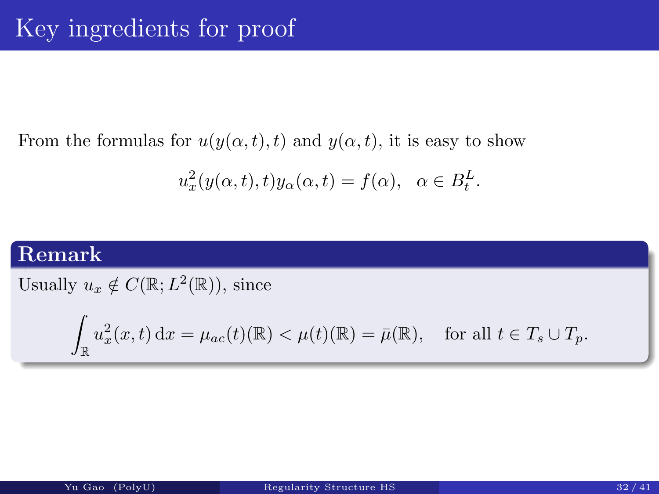#### From the formulas for  $u(y(\alpha, t), t)$  and  $y(\alpha, t)$ , it is easy to show

$$
u_x^2(y(\alpha, t), t)y_\alpha(\alpha, t) = f(\alpha), \ \alpha \in B_t^L.
$$

#### Remark

Usually  $u_x \notin C(\mathbb{R}; L^2(\mathbb{R}))$ , since

$$
\int_{\mathbb{R}} u_x^2(x,t) dx = \mu_{ac}(t)(\mathbb{R}) < \mu(t)(\mathbb{R}) = \bar{\mu}(\mathbb{R}), \quad \text{for all } t \in T_s \cup T_p.
$$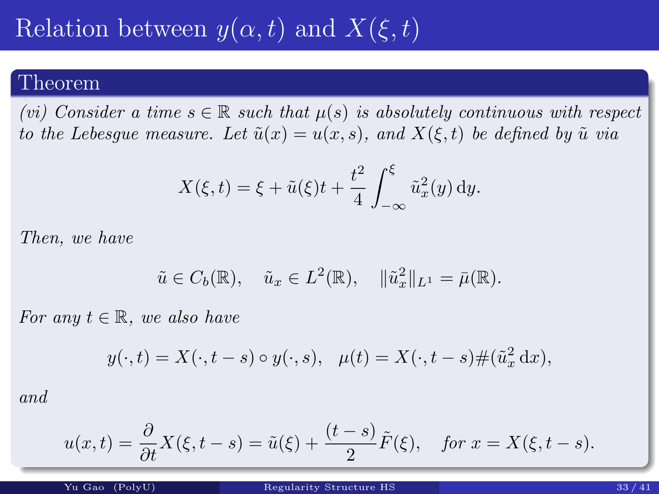# Relation between  $y(\alpha, t)$  and  $X(\xi, t)$

#### Theorem

(vi) Consider a time  $s \in \mathbb{R}$  such that  $\mu(s)$  is absolutely continuous with respect to the Lebesgue measure. Let  $\tilde{u}(x) = u(x, s)$ , and  $X(\xi, t)$  be defined by  $\tilde{u}$  via

$$
X(\xi, t) = \xi + \tilde{u}(\xi)t + \frac{t^2}{4} \int_{-\infty}^{\xi} \tilde{u}_x^2(y) \, dy.
$$

Then, we have

$$
\tilde{u} \in C_b(\mathbb{R}), \quad \tilde{u}_x \in L^2(\mathbb{R}), \quad \|\tilde{u}_x^2\|_{L^1} = \bar{\mu}(\mathbb{R}).
$$

For any  $t \in \mathbb{R}$ , we also have

$$
y(\cdot,t) = X(\cdot,t-s) \circ y(\cdot,s), \quad \mu(t) = X(\cdot,t-s) \# (\tilde{u}_x^2 \, \mathrm{d}x),
$$

and

$$
u(x,t) = \frac{\partial}{\partial t}X(\xi, t - s) = \tilde{u}(\xi) + \frac{(t - s)}{2}\tilde{F}(\xi), \quad \text{for } x = X(\xi, t - s).
$$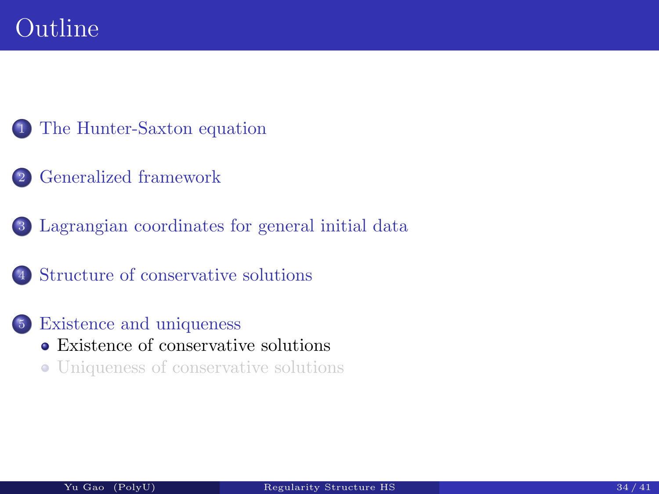- <sup>1</sup> The Hunter-Saxton equation
- <span id="page-45-0"></span><sup>2</sup> Generalized framework
- <sup>3</sup> Lagrangian coordinates for general initial data
- <sup>4</sup> [Structure](#page-2-0) [of](#page-2-0) [cons](#page-2-0)ervative solutions
- <sup>5</sup> [Existence and uniqueness](#page-19-0) [Existence of conse](#page-38-0)rvative solutions Uniqueness of conservative solutions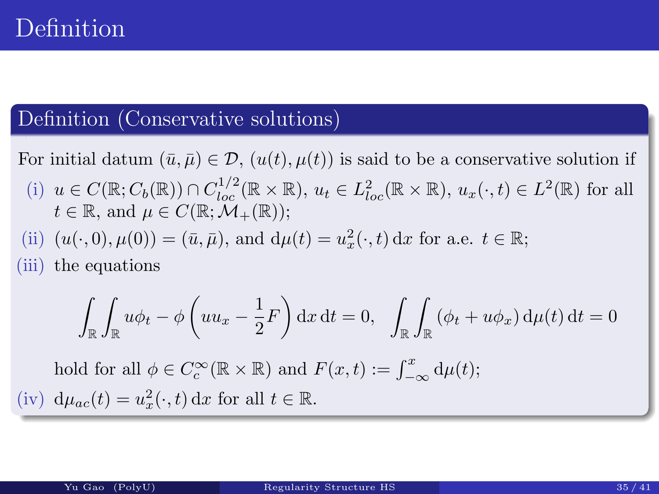#### Definition (Conservative solutions)

For initial datum  $(\bar{u}, \bar{\mu}) \in \mathcal{D}$ ,  $(u(t), \mu(t))$  is said to be a conservative solution if

- (i)  $u \in C(\mathbb{R}; C_b(\mathbb{R})) \cap C_{loc}^{1/2}(\mathbb{R} \times \mathbb{R}), u_t \in L_{loc}^2(\mathbb{R} \times \mathbb{R}), u_x(\cdot, t) \in L^2(\mathbb{R})$  for all  $t \in \mathbb{R}$ , and  $\mu \in C(\mathbb{R}; \mathcal{M}_{+}(\mathbb{R}))$ ;
- (ii)  $(u(\cdot, 0), \mu(0)) = (\bar{u}, \bar{\mu})$ , and  $d\mu(t) = u_x^2$  $x^2(x,t) dx$  for a.e.  $t \in \mathbb{R}$ ;

(iii) the equations

$$
\int_{\mathbb{R}} \int_{\mathbb{R}} u \phi_t - \phi \left( u u_x - \frac{1}{2} F \right) dx dt = 0, \quad \int_{\mathbb{R}} \int_{\mathbb{R}} (\phi_t + u \phi_x) d\mu(t) dt = 0
$$

hold for all  $\phi \in C_c^{\infty}$  $E_c^{\infty}(\mathbb{R} \times \mathbb{R})$  and  $F(x,t) := \int_{-\infty}^x d\mu(t);$ (iv)  $d\mu_{ac}(t) = u_x^2$  $x^2(x,t) dx$  for all  $t \in \mathbb{R}$ .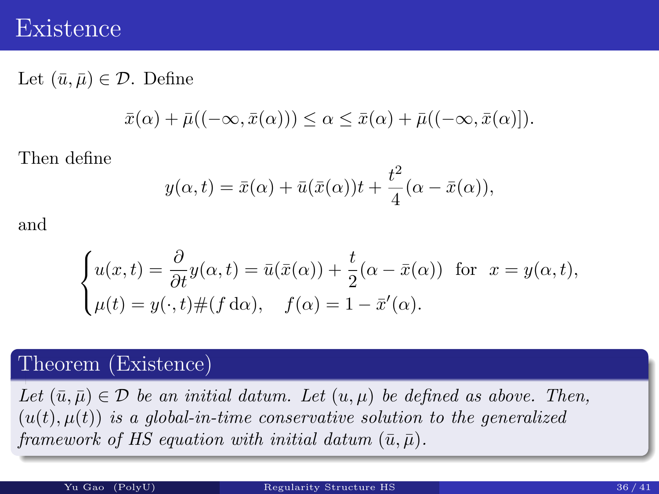#### Existence

Let  $(\bar{u}, \bar{\mu}) \in \mathcal{D}$ . Define

$$
\bar{x}(\alpha) + \bar{\mu}((-\infty, \bar{x}(\alpha))) \leq \alpha \leq \bar{x}(\alpha) + \bar{\mu}((-\infty, \bar{x}(\alpha))).
$$

Then define

$$
y(\alpha, t) = \bar{x}(\alpha) + \bar{u}(\bar{x}(\alpha))t + \frac{t^2}{4}(\alpha - \bar{x}(\alpha)),
$$

and

$$
\begin{cases}\nu(x,t) = \frac{\partial}{\partial t}y(\alpha,t) = \bar{u}(\bar{x}(\alpha)) + \frac{t}{2}(\alpha - \bar{x}(\alpha)) & \text{for } x = y(\alpha,t), \\
\mu(t) = y(\cdot,t) \#(f \, d\alpha), \quad f(\alpha) = 1 - \bar{x}'(\alpha).\n\end{cases}
$$

#### Theorem (Existence)

Let  $(\bar{u}, \bar{\mu}) \in \mathcal{D}$  be an initial datum. Let  $(u, \mu)$  be defined as above. Then,  $(u(t), \mu(t))$  is a global-in-time conservative solution to the generalized framework of HS equation with initial datum  $(\bar{u}, \bar{\mu})$ .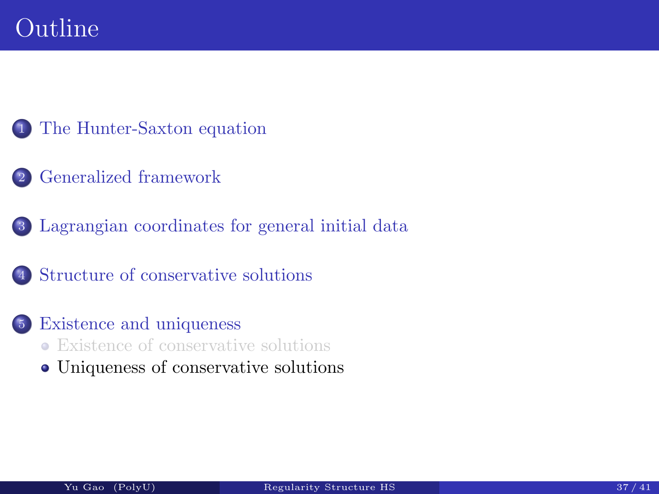- <sup>1</sup> The Hunter-Saxton equation
- <sup>2</sup> Generalized framework
- <sup>3</sup> Lagrangian coordinates for general initial data
- <sup>4</sup> [Structure](#page-2-0) [of](#page-2-0) [cons](#page-2-0)ervative solutions
- <sup>5</sup> [Existence and uniqueness](#page-19-0) [Existence of conse](#page-38-0)rvative solutions
	- Uniqueness of conservative solutions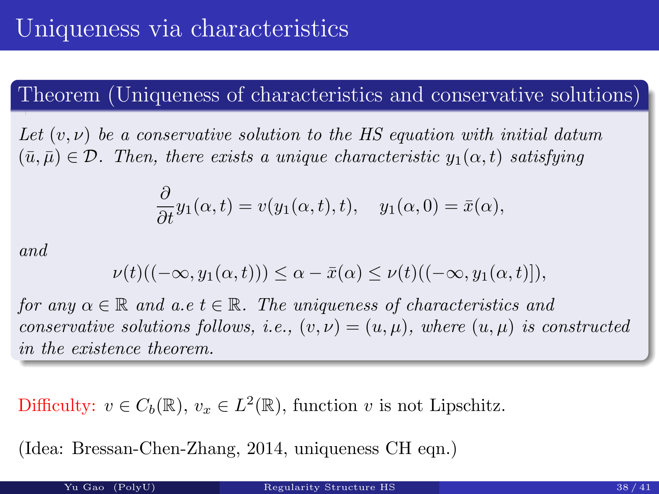#### Theorem (Uniqueness of characteristics and conservative solutions)

Let  $(v, \nu)$  be a conservative solution to the HS equation with initial datum  $(\bar{u}, \bar{\mu}) \in \mathcal{D}$ . Then, there exists a unique characteristic  $y_1(\alpha, t)$  satisfying

$$
\frac{\partial}{\partial t}y_1(\alpha, t) = v(y_1(\alpha, t), t), \quad y_1(\alpha, 0) = \bar{x}(\alpha),
$$

and

$$
\nu(t)((-\infty, y_1(\alpha, t))) \leq \alpha - \bar{x}(\alpha) \leq \nu(t)((-\infty, y_1(\alpha, t)]),
$$

for any  $\alpha \in \mathbb{R}$  and  $a.e$   $t \in \mathbb{R}$ . The uniqueness of characteristics and conservative solutions follows, i.e.,  $(v, v) = (u, \mu)$ , where  $(u, \mu)$  is constructed in the existence theorem.

Difficulty:  $v \in C_b(\mathbb{R})$ ,  $v_x \in L^2(\mathbb{R})$ , function v is not Lipschitz.

(Idea: Bressan-Chen-Zhang, 2014, uniqueness CH eqn.)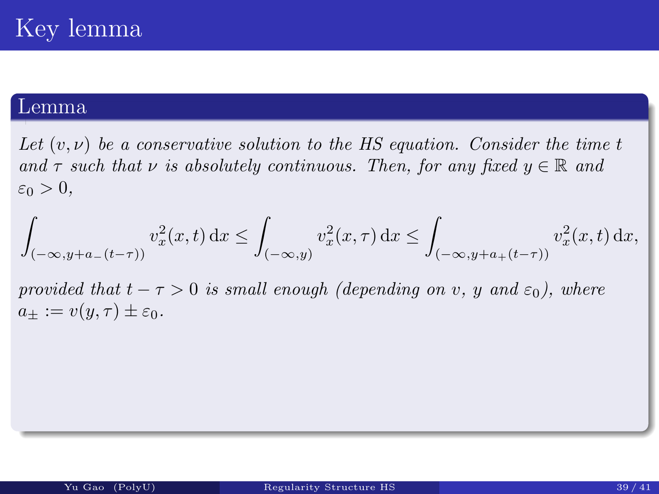#### Lemma

Let  $(v, v)$  be a conservative solution to the HS equation. Consider the time t and  $\tau$  such that  $\nu$  is absolutely continuous. Then, for any fixed  $y \in \mathbb{R}$  and  $\varepsilon_0 > 0$ ,

$$
\int_{(-\infty, y+a_-(t-\tau))} v_x^2(x, t) dx \le \int_{(-\infty, y)} v_x^2(x, \tau) dx \le \int_{(-\infty, y+a_+(t-\tau))} v_x^2(x, t) dx,
$$

provided that  $t - \tau > 0$  is small enough (depending on v, y and  $\varepsilon_0$ ), where  $a_{\pm} := v(y, \tau) \pm \varepsilon_0.$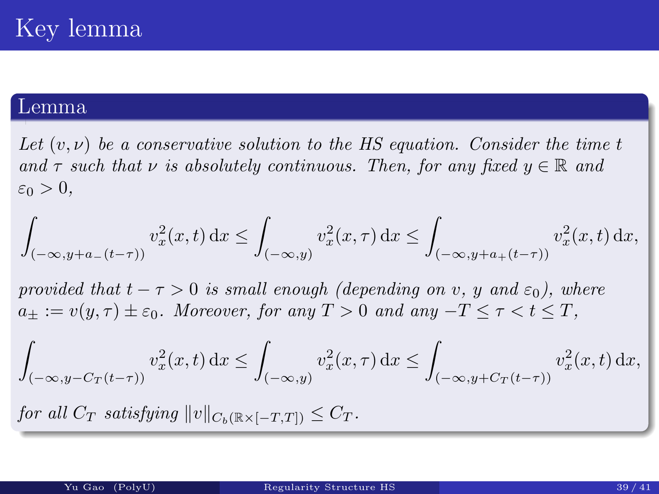#### Lemma

Let  $(v, \nu)$  be a conservative solution to the HS equation. Consider the time t and  $\tau$  such that  $\nu$  is absolutely continuous. Then, for any fixed  $y \in \mathbb{R}$  and  $\varepsilon_0 > 0$ ,

$$
\int_{(-\infty,y+a_-(t-\tau))} v_x^2(x,t)\,\mathrm{d} x \le \int_{(-\infty,y)} v_x^2(x,\tau)\,\mathrm{d} x \le \int_{(-\infty,y+a_+(t-\tau))} v_x^2(x,t)\,\mathrm{d} x,
$$

provided that  $t - \tau > 0$  is small enough (depending on v, y and  $\varepsilon_0$ ), where  $a_+ := v(y,\tau) \pm \varepsilon_0$ . Moreover, for any  $T > 0$  and any  $-T \leq \tau \leq t \leq T$ ,

$$
\int_{(-\infty,y-C_T(t-\tau))} v_x^2(x,t)\,\mathrm{d}x \le \int_{(-\infty,y)} v_x^2(x,\tau)\,\mathrm{d}x \le \int_{(-\infty,y+C_T(t-\tau))} v_x^2(x,t)\,\mathrm{d}x,
$$

for all  $C_T$  satisfying  $||v||_{C_b(\mathbb{R}\times[-T,T])} \leq C_T$ .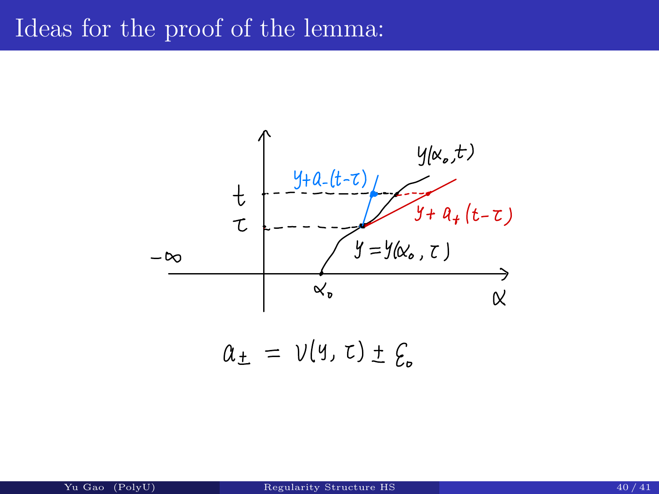### Ideas for the proof of the lemma: